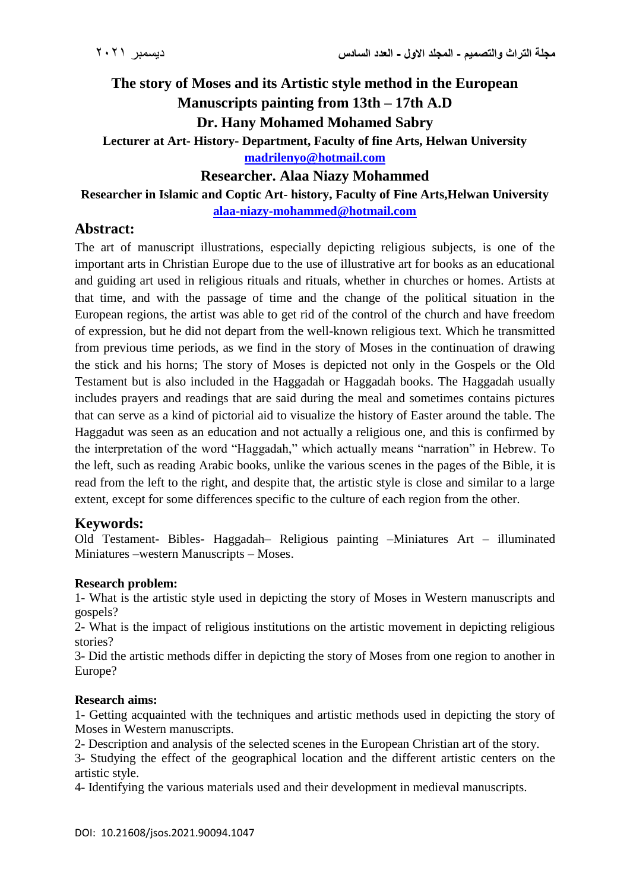# **The story of Moses and its Artistic style method in the European Manuscripts painting from 13th – 17th A.D Dr. Hany Mohamed Mohamed Sabry**

**Lecturer at Art- History- Department, Faculty of fine Arts, Helwan University [madrilenyo@hotmail.com](mailto:madrilenyo@hotmail.com)**

**Researcher. Alaa Niazy Mohammed**

**Researcher in Islamic and Coptic Art- history, Faculty of Fine Arts,Helwan University**

**[alaa-niazy-mohammed@hotmail.com](mailto:alaa-niazy-mohammed@hotmail.com)**

## **Abstract:**

The art of manuscript illustrations, especially depicting religious subjects, is one of the important arts in Christian Europe due to the use of illustrative art for books as an educational and guiding art used in religious rituals and rituals, whether in churches or homes. Artists at that time, and with the passage of time and the change of the political situation in the European regions, the artist was able to get rid of the control of the church and have freedom of expression, but he did not depart from the well-known religious text. Which he transmitted from previous time periods, as we find in the story of Moses in the continuation of drawing the stick and his horns; The story of Moses is depicted not only in the Gospels or the Old Testament but is also included in the Haggadah or Haggadah books. The Haggadah usually includes prayers and readings that are said during the meal and sometimes contains pictures that can serve as a kind of pictorial aid to visualize the history of Easter around the table. The Haggadut was seen as an education and not actually a religious one, and this is confirmed by the interpretation of the word "Haggadah," which actually means "narration" in Hebrew. To the left, such as reading Arabic books, unlike the various scenes in the pages of the Bible, it is read from the left to the right, and despite that, the artistic style is close and similar to a large extent, except for some differences specific to the culture of each region from the other.

## **Keywords:**

Old Testament- Bibles- Haggadah– Religious painting –Miniatures Art – illuminated Miniatures –western Manuscripts – Moses.

## **Research problem:**

1- What is the artistic style used in depicting the story of Moses in Western manuscripts and gospels?

2- What is the impact of religious institutions on the artistic movement in depicting religious stories?

3- Did the artistic methods differ in depicting the story of Moses from one region to another in Europe?

### **Research aims:**

1- Getting acquainted with the techniques and artistic methods used in depicting the story of Moses in Western manuscripts.

2- Description and analysis of the selected scenes in the European Christian art of the story.

3- Studying the effect of the geographical location and the different artistic centers on the artistic style.

4- Identifying the various materials used and their development in medieval manuscripts.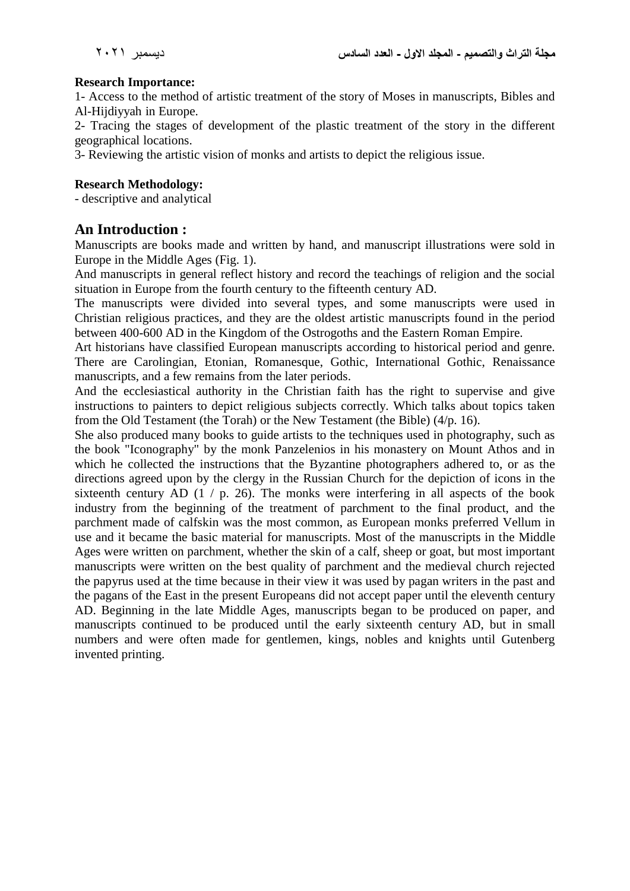#### **Research Importance:**

1- Access to the method of artistic treatment of the story of Moses in manuscripts, Bibles and Al-Hijdiyyah in Europe.

2- Tracing the stages of development of the plastic treatment of the story in the different geographical locations.

3- Reviewing the artistic vision of monks and artists to depict the religious issue.

#### **Research Methodology:**

- descriptive and analytical

## **An Introduction :**

Manuscripts are books made and written by hand, and manuscript illustrations were sold in Europe in the Middle Ages (Fig. 1).

And manuscripts in general reflect history and record the teachings of religion and the social situation in Europe from the fourth century to the fifteenth century AD.

The manuscripts were divided into several types, and some manuscripts were used in Christian religious practices, and they are the oldest artistic manuscripts found in the period between 400-600 AD in the Kingdom of the Ostrogoths and the Eastern Roman Empire.

Art historians have classified European manuscripts according to historical period and genre. There are Carolingian, Etonian, Romanesque, Gothic, International Gothic, Renaissance manuscripts, and a few remains from the later periods.

And the ecclesiastical authority in the Christian faith has the right to supervise and give instructions to painters to depict religious subjects correctly. Which talks about topics taken from the Old Testament (the Torah) or the New Testament (the Bible) (4/p. 16).

She also produced many books to guide artists to the techniques used in photography, such as the book "Iconography" by the monk Panzelenios in his monastery on Mount Athos and in which he collected the instructions that the Byzantine photographers adhered to, or as the directions agreed upon by the clergy in the Russian Church for the depiction of icons in the sixteenth century AD  $(1 / p. 26)$ . The monks were interfering in all aspects of the book industry from the beginning of the treatment of parchment to the final product, and the parchment made of calfskin was the most common, as European monks preferred Vellum in use and it became the basic material for manuscripts. Most of the manuscripts in the Middle Ages were written on parchment, whether the skin of a calf, sheep or goat, but most important manuscripts were written on the best quality of parchment and the medieval church rejected the papyrus used at the time because in their view it was used by pagan writers in the past and the pagans of the East in the present Europeans did not accept paper until the eleventh century AD. Beginning in the late Middle Ages, manuscripts began to be produced on paper, and manuscripts continued to be produced until the early sixteenth century AD, but in small numbers and were often made for gentlemen, kings, nobles and knights until Gutenberg invented printing.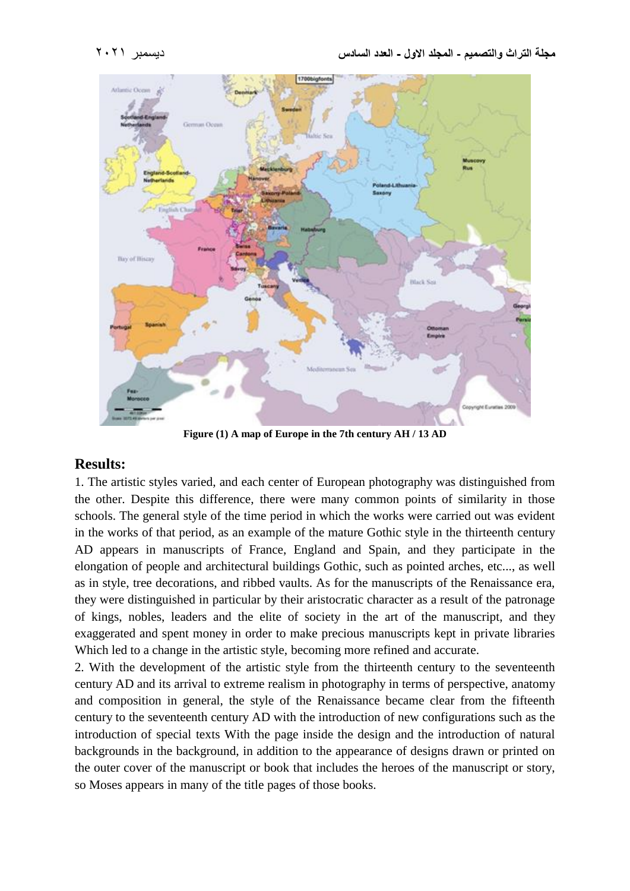



**Figure (1) A map of Europe in the 7th century AH / 13 AD**

### **Results:**

1. The artistic styles varied, and each center of European photography was distinguished from the other. Despite this difference, there were many common points of similarity in those schools. The general style of the time period in which the works were carried out was evident in the works of that period, as an example of the mature Gothic style in the thirteenth century AD appears in manuscripts of France, England and Spain, and they participate in the elongation of people and architectural buildings Gothic, such as pointed arches, etc..., as well as in style, tree decorations, and ribbed vaults. As for the manuscripts of the Renaissance era, they were distinguished in particular by their aristocratic character as a result of the patronage of kings, nobles, leaders and the elite of society in the art of the manuscript, and they exaggerated and spent money in order to make precious manuscripts kept in private libraries Which led to a change in the artistic style, becoming more refined and accurate.

2. With the development of the artistic style from the thirteenth century to the seventeenth century AD and its arrival to extreme realism in photography in terms of perspective, anatomy and composition in general, the style of the Renaissance became clear from the fifteenth century to the seventeenth century AD with the introduction of new configurations such as the introduction of special texts With the page inside the design and the introduction of natural backgrounds in the background, in addition to the appearance of designs drawn or printed on the outer cover of the manuscript or book that includes the heroes of the manuscript or story, so Moses appears in many of the title pages of those books.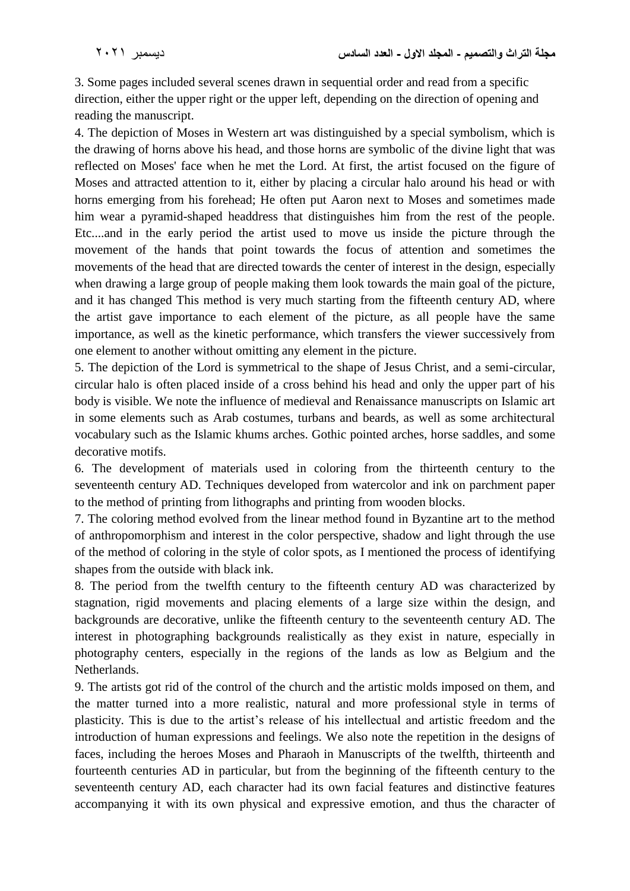3. Some pages included several scenes drawn in sequential order and read from a specific direction, either the upper right or the upper left, depending on the direction of opening and reading the manuscript.

4. The depiction of Moses in Western art was distinguished by a special symbolism, which is the drawing of horns above his head, and those horns are symbolic of the divine light that was reflected on Moses' face when he met the Lord. At first, the artist focused on the figure of Moses and attracted attention to it, either by placing a circular halo around his head or with horns emerging from his forehead; He often put Aaron next to Moses and sometimes made him wear a pyramid-shaped headdress that distinguishes him from the rest of the people. Etc....and in the early period the artist used to move us inside the picture through the movement of the hands that point towards the focus of attention and sometimes the movements of the head that are directed towards the center of interest in the design, especially when drawing a large group of people making them look towards the main goal of the picture, and it has changed This method is very much starting from the fifteenth century AD, where the artist gave importance to each element of the picture, as all people have the same importance, as well as the kinetic performance, which transfers the viewer successively from one element to another without omitting any element in the picture.

5. The depiction of the Lord is symmetrical to the shape of Jesus Christ, and a semi-circular, circular halo is often placed inside of a cross behind his head and only the upper part of his body is visible. We note the influence of medieval and Renaissance manuscripts on Islamic art in some elements such as Arab costumes, turbans and beards, as well as some architectural vocabulary such as the Islamic khums arches. Gothic pointed arches, horse saddles, and some decorative motifs.

6. The development of materials used in coloring from the thirteenth century to the seventeenth century AD. Techniques developed from watercolor and ink on parchment paper to the method of printing from lithographs and printing from wooden blocks.

7. The coloring method evolved from the linear method found in Byzantine art to the method of anthropomorphism and interest in the color perspective, shadow and light through the use of the method of coloring in the style of color spots, as I mentioned the process of identifying shapes from the outside with black ink.

8. The period from the twelfth century to the fifteenth century AD was characterized by stagnation, rigid movements and placing elements of a large size within the design, and backgrounds are decorative, unlike the fifteenth century to the seventeenth century AD. The interest in photographing backgrounds realistically as they exist in nature, especially in photography centers, especially in the regions of the lands as low as Belgium and the Netherlands.

9. The artists got rid of the control of the church and the artistic molds imposed on them, and the matter turned into a more realistic, natural and more professional style in terms of plasticity. This is due to the artist's release of his intellectual and artistic freedom and the introduction of human expressions and feelings. We also note the repetition in the designs of faces, including the heroes Moses and Pharaoh in Manuscripts of the twelfth, thirteenth and fourteenth centuries AD in particular, but from the beginning of the fifteenth century to the seventeenth century AD, each character had its own facial features and distinctive features accompanying it with its own physical and expressive emotion, and thus the character of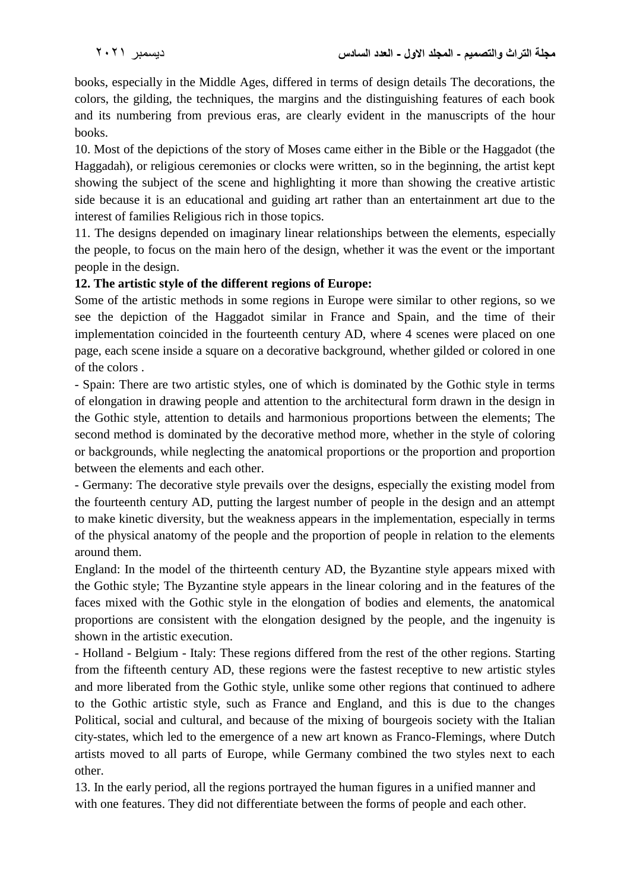books, especially in the Middle Ages, differed in terms of design details The decorations, the colors, the gilding, the techniques, the margins and the distinguishing features of each book and its numbering from previous eras, are clearly evident in the manuscripts of the hour books.

10. Most of the depictions of the story of Moses came either in the Bible or the Haggadot (the Haggadah), or religious ceremonies or clocks were written, so in the beginning, the artist kept showing the subject of the scene and highlighting it more than showing the creative artistic side because it is an educational and guiding art rather than an entertainment art due to the interest of families Religious rich in those topics.

11. The designs depended on imaginary linear relationships between the elements, especially the people, to focus on the main hero of the design, whether it was the event or the important people in the design.

## **12. The artistic style of the different regions of Europe:**

Some of the artistic methods in some regions in Europe were similar to other regions, so we see the depiction of the Haggadot similar in France and Spain, and the time of their implementation coincided in the fourteenth century AD, where 4 scenes were placed on one page, each scene inside a square on a decorative background, whether gilded or colored in one of the colors .

- Spain: There are two artistic styles, one of which is dominated by the Gothic style in terms of elongation in drawing people and attention to the architectural form drawn in the design in the Gothic style, attention to details and harmonious proportions between the elements; The second method is dominated by the decorative method more, whether in the style of coloring or backgrounds, while neglecting the anatomical proportions or the proportion and proportion between the elements and each other.

- Germany: The decorative style prevails over the designs, especially the existing model from the fourteenth century AD, putting the largest number of people in the design and an attempt to make kinetic diversity, but the weakness appears in the implementation, especially in terms of the physical anatomy of the people and the proportion of people in relation to the elements around them.

England: In the model of the thirteenth century AD, the Byzantine style appears mixed with the Gothic style; The Byzantine style appears in the linear coloring and in the features of the faces mixed with the Gothic style in the elongation of bodies and elements, the anatomical proportions are consistent with the elongation designed by the people, and the ingenuity is shown in the artistic execution.

- Holland - Belgium - Italy: These regions differed from the rest of the other regions. Starting from the fifteenth century AD, these regions were the fastest receptive to new artistic styles and more liberated from the Gothic style, unlike some other regions that continued to adhere to the Gothic artistic style, such as France and England, and this is due to the changes Political, social and cultural, and because of the mixing of bourgeois society with the Italian city-states, which led to the emergence of a new art known as Franco-Flemings, where Dutch artists moved to all parts of Europe, while Germany combined the two styles next to each other.

13. In the early period, all the regions portrayed the human figures in a unified manner and with one features. They did not differentiate between the forms of people and each other.